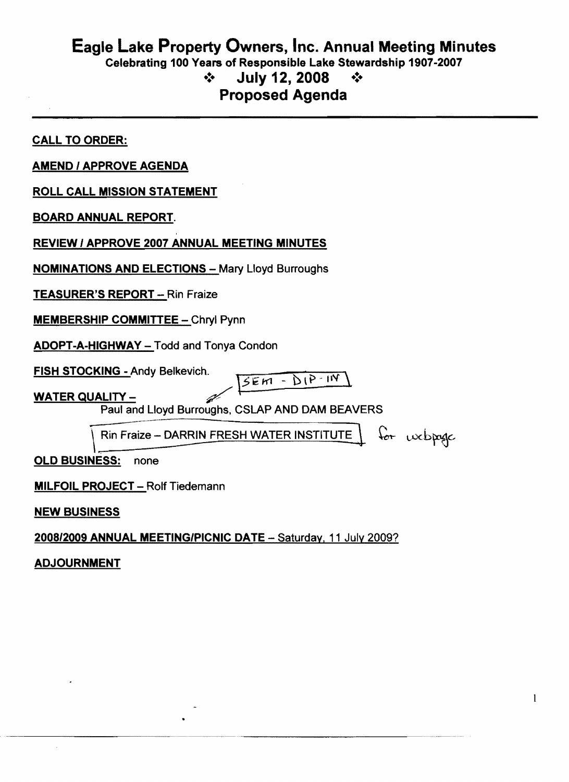## Eagle Lake Property Owners, Inc. Annual Meeting Minutes Celebrating 100 Years of Responsible Lake Stewardship 1907-2007  $\div$  July 12, 2008  $\div$ Proposed Agenda

CALL TO ORDER: AMEND 1APPROVE AGENDA ROLL CALL MISSION STATEMENT BOARD ANNUAL REPORT. REVIEW / APPROVE 2007 ANNUAL MEETING MINUTES **NOMINATIONS AND ELECTIONS - Mary Lloyd Burroughs** TEASURER'S REPORT - Rin Fraize **MEMBERSHIP COMMITTEE - Chryl Pynn** ADOPT-A-HIGHWAY - Todd and Tonya Condon FISH STOCKING - Andy Belkevich. \ ~ ~ *"'1' \*  $5E M - D1P - IN$ WATER QUALITY -Paul and Lloyd Burroughs, CSLAP AND DAM BEAVERS  $\overline{\phantom{a}}$  $\mid$  Rin Fraize - DARRIN FRESH WATER INSTITUTE  $\mid$  for webpoge OLD BUSINESS: none **MILFOIL PROJECT - Rolf Tiedemann** NEW BUSINESS

2008/2009 ANNUAL MEETING/PICNIC DATE - Saturday, 11 July 2009?

-----------

ADJOURNMENT

----------~..-~~~